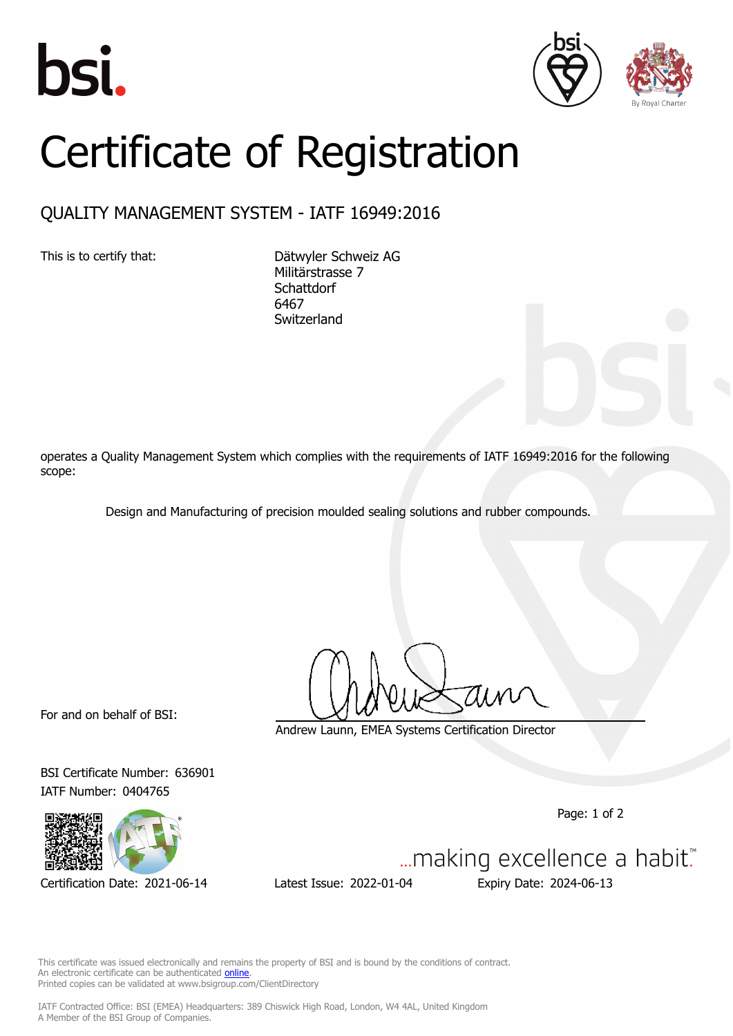





## Certificate of Registration

## QUALITY MANAGEMENT SYSTEM - IATF 16949:2016

This is to certify that: Dätwyler Schweiz AG Militärstrasse 7 **Schattdorf** 6467 **Switzerland** 

operates a Quality Management System which complies with the requirements of IATF 16949:2016 for the following scope:

Design and Manufacturing of precision moulded sealing solutions and rubber compounds.

For and on behalf of BSI:

BSI Certificate Number: 636901 IATF Number: 0404765



Certification Date: 2021-06-14 Latest Issue: 2022-01-04 Expiry Date: 2024-06-13

Andrew Launn, EMEA Systems Certification Director

Page: 1 of 2

... making excellence a habit."

This certificate was issued electronically and remains the property of BSI and is bound by the conditions of contract. An electronic certificate can be authenticated **[online](https://pgplus.bsigroup.com/CertificateValidation/CertificateValidator.aspx?CertificateNumber=TS+636901&ReIssueDate=04%2f01%2f2022&Template=cemea_en)** Printed copies can be validated at www.bsigroup.com/ClientDirectory

IATF Contracted Office: BSI (EMEA) Headquarters: 389 Chiswick High Road, London, W4 4AL, United Kingdom A Member of the BSI Group of Companies.